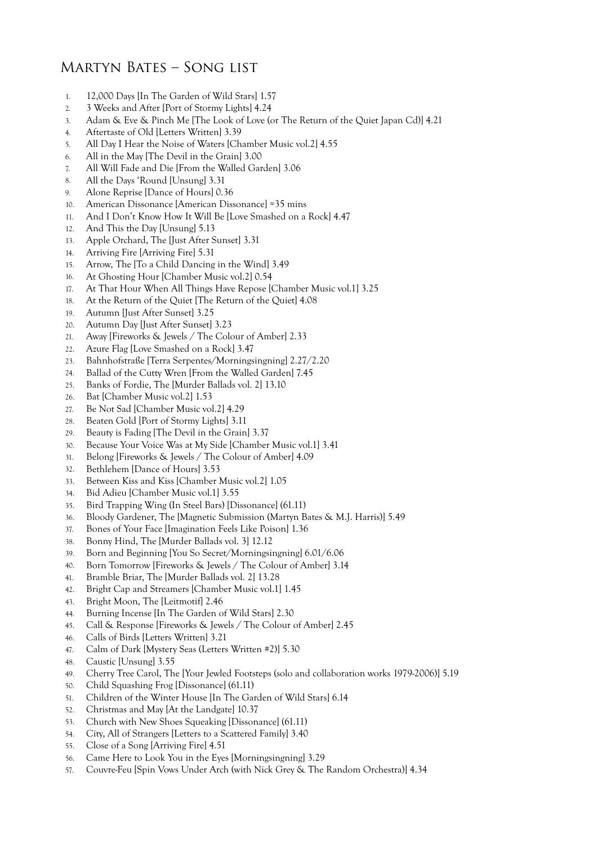## Martyn Bates – Song list

- 1. 12,000 Days [In The Garden of Wild Stars] 1.57
- 2. 3 Weeks and After [Port of Stormy Lights] 4.24
- 3. Adam & Eve & Pinch Me [The Look of Love (or The Return of the Quiet Japan Cd)] 4.21
- 4. Aftertaste of Old [Letters Written] 3.39
- 5. All Day I Hear the Noise of Waters [Chamber Music vol.2] 4.55
- 6. All in the May [The Devil in the Grain] 3.00
- 7. All Will Fade and Die [From the Walled Garden] 3.06
- 8. All the Days 'Round [Unsung] 3.31
- 9. Alone Reprise [Dance of Hours] 0.36
- 10. American Dissonance [American Dissonance] ≈35 mins
- 11. And I Don't Know How It Will Be [Love Smashed on a Rock] 4.47
- 12. And This the Day [Unsung] 5.13
- 13. Apple Orchard, The [Just After Sunset] 3.31
- 14. Arriving Fire [Arriving Fire] 5.31
- 15. Arrow, The [To a Child Dancing in the Wind] 3.49
- 16. At Ghosting Hour [Chamber Music vol.2] 0.54
- 17. At That Hour When All Things Have Repose [Chamber Music vol.1] 3.25
- 18. At the Return of the Quiet [The Return of the Quiet] 4.08
- 19. Autumn [Just After Sunset] 3.25
- 20. Autumn Day [Just After Sunset] 3.23
- 21. Away [Fireworks & Jewels / The Colour of Amber] 2.33
- 22. Azure Flag [Love Smashed on a Rock] 3.47
- 23. Bahnhofstraße [Terra Serpentes/Morningsingning] 2.27/2.20
- 24. Ballad of the Cutty Wren [From the Walled Garden] 7.45
- 25. Banks of Fordie, The [Murder Ballads vol. 2] 13.10
- 26. Bat [Chamber Music vol.2] 1.53
- 27. Be Not Sad [Chamber Music vol.2] 4.29
- 28. Beaten Gold [Port of Stormy Lights] 3.11
- 29. Beauty is Fading [The Devil in the Grain] 3.37
- 30. Because Your Voice Was at My Side [Chamber Music vol.1] 3.41
- 31. Belong [Fireworks & Jewels / The Colour of Amber] 4.09
- 32. Bethlehem [Dance of Hours] 3.53
- 33. Between Kiss and Kiss [Chamber Music vol.2] 1.05
- 34. Bid Adieu [Chamber Music vol.1] 3.55
- 35. Bird Trapping Wing (In Steel Bars) [Dissonance] (61.11)
- 36. Bloody Gardener, The [Magnetic Submission (Martyn Bates & M.J. Harris)] 5.49
- 37. Bones of Your Face [Imagination Feels Like Poison] 1.36
- 38. Bonny Hind, The [Murder Ballads vol. 3] 12.12
- 39. Born and Beginning [You So Secret/Morningsingning] 6.01/6.06
- 40. Born Tomorrow [Fireworks & Jewels / The Colour of Amber] 3.14
- 41. Bramble Briar, The [Murder Ballads vol. 2] 13.28
- 42. Bright Cap and Streamers [Chamber Music vol.1] 1.45
- 43. Bright Moon, The [Leitmotif] 2.46
- 44. Burning Incense [In The Garden of Wild Stars] 2.30
- 45. Call & Response [Fireworks & Jewels / The Colour of Amber] 2.45
- 46. Calls of Birds [Letters Written] 3.21
- 47. Calm of Dark [Mystery Seas (Letters Written #2)] 5.30
- 48. Caustic [Unsung] 3.55
- 49. Cherry Tree Carol, The [Your Jewled Footsteps (solo and collaboration works 1979-2006)] 5.19
- 50. Child Squashing Frog [Dissonance] (61.11)
- 51. Children of the Winter House [In The Garden of Wild Stars] 6.14
- 52. Christmas and May [At the Landgate] 10.37
- 53. Church with New Shoes Squeaking [Dissonance] (61.11)
- 54. City, All of Strangers [Letters to a Scattered Family] 3.40
- 55. Close of a Song [Arriving Fire] 4.51
- 56. Came Here to Look You in the Eyes [Morningsingning] 3.29
- 57. Couvre-Feu [Spin Vows Under Arch (with Nick Grey & The Random Orchestra)] 4.34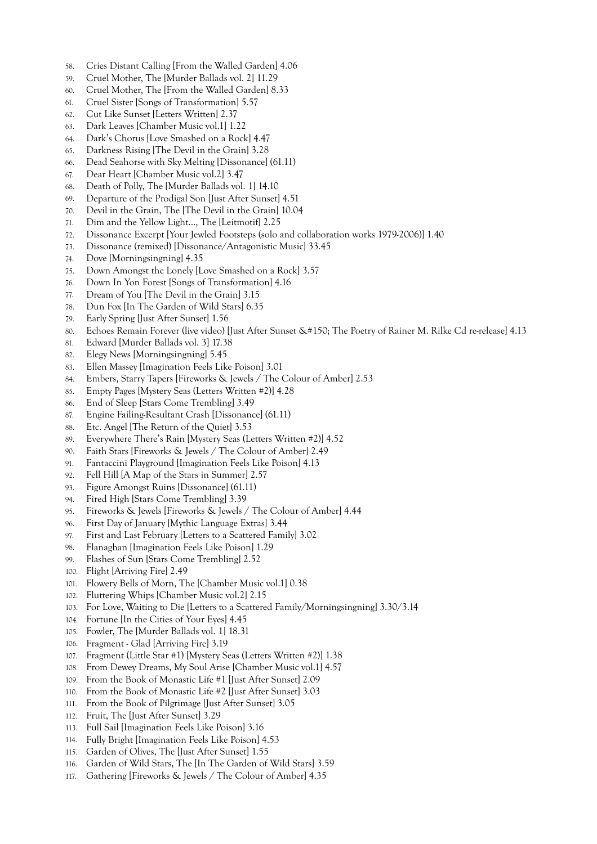- 58. Cries Distant Calling [From the Walled Garden] 4.06
- 59. Cruel Mother, The [Murder Ballads vol. 2] 11.29
- 60. Cruel Mother, The [From the Walled Garden] 8.33
- 61. Cruel Sister [Songs of Transformation] 5.57
- 62. Cut Like Sunset [Letters Written] 2.37
- 63. Dark Leaves [Chamber Music vol.1] 1.22
- 64. Dark's Chorus [Love Smashed on a Rock] 4.47
- 65. Darkness Rising [The Devil in the Grain] 3.28
- 66. Dead Seahorse with Sky Melting [Dissonance] (61.11)
- 67. Dear Heart [Chamber Music vol.2] 3.47
- 68. Death of Polly, The [Murder Ballads vol. 1] 14.10
- 69. Departure of the Prodigal Son [Just After Sunset] 4.51
- 70. Devil in the Grain, The [The Devil in the Grain] 10.04
- 71. Dim and the Yellow Light..., The [Leitmotif] 2.25
- 72. Dissonance Excerpt [Your Jewled Footsteps (solo and collaboration works 1979-2006)] 1.40
- 73. Dissonance (remixed) [Dissonance/Antagonistic Music] 33.45
- 74. Dove [Morningsingning] 4.35
- 75. Down Amongst the Lonely [Love Smashed on a Rock] 3.57
- 76. Down In Yon Forest [Songs of Transformation] 4.16
- 77. Dream of You [The Devil in the Grain] 3.15
- 78. Dun Fox [In The Garden of Wild Stars] 6.35
- 79. Early Spring [Just After Sunset] 1.56
- 80. Echoes Remain Forever (live video) [Just After Sunset The Poetry of Rainer M. Rilke Cd re-release] 4.13
- 81. Edward [Murder Ballads vol. 3] 17.38
- 82. Elegy News [Morningsingning] 5.45
- 83. Ellen Massey [Imagination Feels Like Poison] 3.01
- 84. Embers, Starry Tapers [Fireworks & Jewels / The Colour of Amber] 2.53
- 85. Empty Pages [Mystery Seas (Letters Written #2)] 4.28
- 86. End of Sleep [Stars Come Trembling] 3.49
- 87. Engine Failing-Resultant Crash [Dissonance] (61.11)
- 88. Etc. Angel [The Return of the Quiet] 3.53
- 89. Everywhere There's Rain [Mystery Seas (Letters Written #2)] 4.52
- 90. Faith Stars [Fireworks & Jewels / The Colour of Amber] 2.49
- 91. Fantaccini Playground [Imagination Feels Like Poison] 4.13
- 92. Fell Hill [A Map of the Stars in Summer] 2.57
- 93. Figure Amongst Ruins [Dissonance] (61.11)
- 94. Fired High [Stars Come Trembling] 3.39
- 95. Fireworks & Jewels [Fireworks & Jewels / The Colour of Amber] 4.44
- 96. First Day of January [Mythic Language Extras] 3.44
- 97. First and Last February [Letters to a Scattered Family] 3.02
- 98. Flanaghan [Imagination Feels Like Poison] 1.29
- 99. Flashes of Sun [Stars Come Trembling] 2.52
- 100. Flight [Arriving Fire] 2.49
- 101. Flowery Bells of Morn, The [Chamber Music vol.1] 0.38
- 102. Fluttering Whips [Chamber Music vol.2] 2.15
- 103. For Love, Waiting to Die [Letters to a Scattered Family/Morningsingning] 3.30/3.14
- 104. Fortune [In the Cities of Your Eyes] 4.45
- 105. Fowler, The [Murder Ballads vol. 1] 18.31
- 106. Fragment Glad [Arriving Fire] 3.19
- 107. Fragment (Little Star #1) [Mystery Seas (Letters Written #2)] 1.38
- 108. From Dewey Dreams, My Soul Arise [Chamber Music vol.1] 4.57
- 109. From the Book of Monastic Life #1 [Just After Sunset] 2.09
- 110. From the Book of Monastic Life #2 [Just After Sunset] 3.03
- 111. From the Book of Pilgrimage [Just After Sunset] 3.05
- 112. Fruit, The [Just After Sunset] 3.29
- 113. Full Sail [Imagination Feels Like Poison] 3.16
- 114. Fully Bright [Imagination Feels Like Poison] 4.53
- 115. Garden of Olives, The [Just After Sunset] 1.55
- 116. Garden of Wild Stars, The [In The Garden of Wild Stars] 3.59
- 117. Gathering [Fireworks & Jewels / The Colour of Amber] 4.35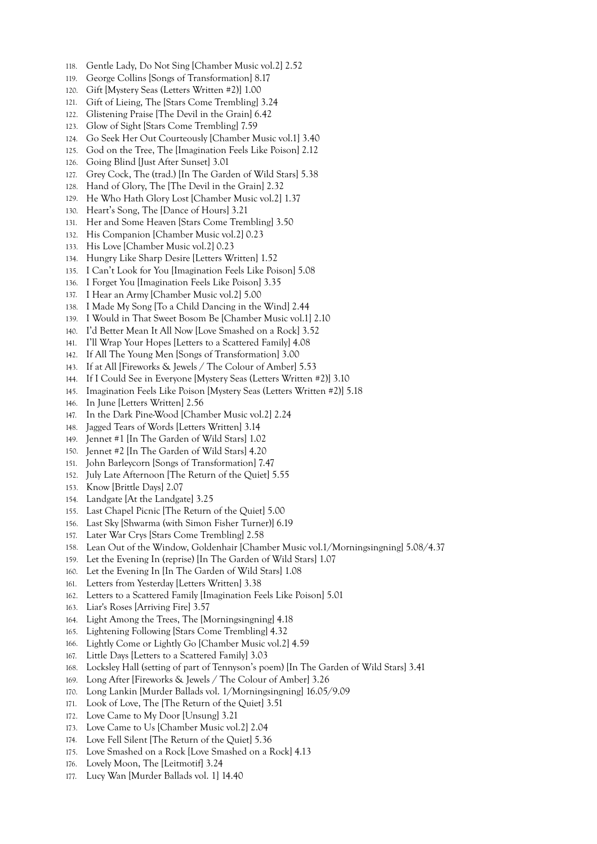- 118. Gentle Lady, Do Not Sing [Chamber Music vol.2] 2.52
- 119. George Collins [Songs of Transformation] 8.17
- 120. Gift [Mystery Seas (Letters Written #2)] 1.00
- 121. Gift of Lieing, The [Stars Come Trembling] 3.24
- 122. Glistening Praise [The Devil in the Grain] 6.42
- 123. Glow of Sight [Stars Come Trembling] 7.59
- 124. Go Seek Her Out Courteously [Chamber Music vol.1] 3.40
- 125. God on the Tree, The [Imagination Feels Like Poison] 2.12
- 126. Going Blind [Just After Sunset] 3.01
- 127. Grey Cock, The (trad.) [In The Garden of Wild Stars] 5.38
- 128. Hand of Glory, The [The Devil in the Grain] 2.32
- 129. He Who Hath Glory Lost [Chamber Music vol.2] 1.37
- 130. Heart's Song, The [Dance of Hours] 3.21
- 131. Her and Some Heaven [Stars Come Trembling] 3.50
- 132. His Companion [Chamber Music vol.2] 0.23
- 133. His Love [Chamber Music vol.2] 0.23
- 134. Hungry Like Sharp Desire [Letters Written] 1.52
- 135. I Can't Look for You [Imagination Feels Like Poison] 5.08
- 136. I Forget You [Imagination Feels Like Poison] 3.35
- 137. I Hear an Army [Chamber Music vol.2] 5.00
- 138. I Made My Song [To a Child Dancing in the Wind] 2.44
- 139. I Would in That Sweet Bosom Be [Chamber Music vol.1] 2.10
- 140. I'd Better Mean It All Now [Love Smashed on a Rock] 3.52
- 141. I'll Wrap Your Hopes [Letters to a Scattered Family] 4.08
- 142. If All The Young Men [Songs of Transformation] 3.00
- 143. If at All [Fireworks & Jewels / The Colour of Amber] 5.53
- 144. If I Could See in Everyone [Mystery Seas (Letters Written #2)] 3.10
- 145. Imagination Feels Like Poison [Mystery Seas (Letters Written #2)] 5.18
- 146. In June [Letters Written] 2.56
- 147. In the Dark Pine-Wood [Chamber Music vol.2] 2.24
- 148. Jagged Tears of Words [Letters Written] 3.14
- 149. Jennet #1 [In The Garden of Wild Stars] 1.02
- 150. Jennet #2 [In The Garden of Wild Stars] 4.20
- 151. John Barleycorn [Songs of Transformation] 7.47
- 152. July Late Afternoon [The Return of the Quiet] 5.55
- 153. Know [Brittle Days] 2.07
- 154. Landgate [At the Landgate] 3.25
- 155. Last Chapel Picnic [The Return of the Quiet] 5.00
- 156. Last Sky [Shwarma (with Simon Fisher Turner)] 6.19
- 157. Later War Crys [Stars Come Trembling] 2.58
- 158. Lean Out of the Window, Goldenhair [Chamber Music vol.1/Morningsingning] 5.08/4.37
- 159. Let the Evening In (reprise) [In The Garden of Wild Stars] 1.07
- 160. Let the Evening In [In The Garden of Wild Stars] 1.08
- 161. Letters from Yesterday [Letters Written] 3.38
- 162. Letters to a Scattered Family [Imagination Feels Like Poison] 5.01
- 163. Liar's Roses [Arriving Fire] 3.57
- 164. Light Among the Trees, The [Morningsingning] 4.18
- 165. Lightening Following [Stars Come Trembling] 4.32
- 166. Lightly Come or Lightly Go [Chamber Music vol.2] 4.59
- 167. Little Days [Letters to a Scattered Family] 3.03
- 168. Locksley Hall (setting of part of Tennyson's poem) [In The Garden of Wild Stars] 3.41
- 169. Long After [Fireworks & Jewels / The Colour of Amber] 3.26
- 170. Long Lankin [Murder Ballads vol. 1/Morningsingning] 16.05/9.09
- 171. Look of Love, The [The Return of the Quiet] 3.51
- 172. Love Came to My Door [Unsung] 3.21
- 173. Love Came to Us [Chamber Music vol.2] 2.04
- 174. Love Fell Silent [The Return of the Quiet] 5.36
- 175. Love Smashed on a Rock [Love Smashed on a Rock] 4.13
- 176. Lovely Moon, The [Leitmotif] 3.24
- 177. Lucy Wan [Murder Ballads vol. 1] 14.40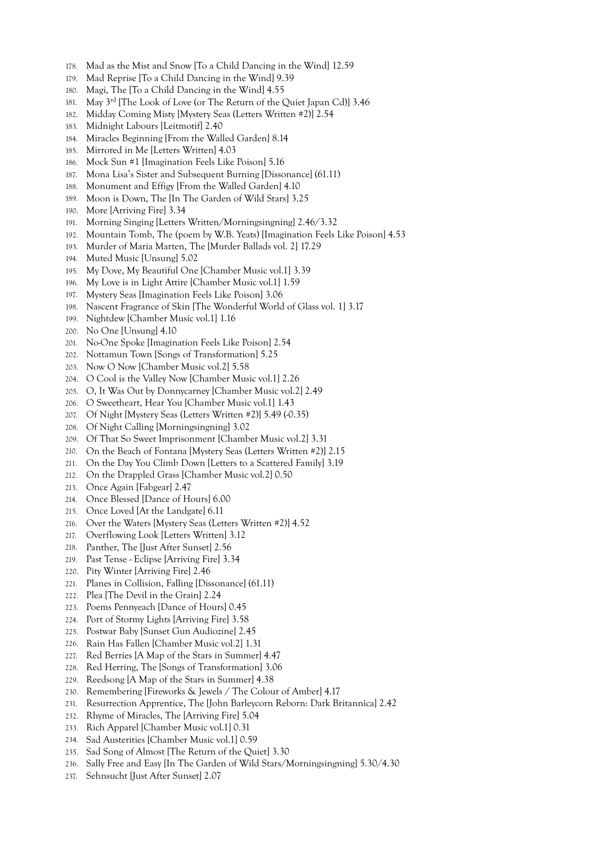- 178. Mad as the Mist and Snow [To a Child Dancing in the Wind] 12.59
- 179. Mad Reprise [To a Child Dancing in the Wind] 9.39
- 180. Magi, The [To a Child Dancing in the Wind] 4.55
- 181. May 3rd [The Look of Love (or The Return of the Quiet Japan Cd)] 3.46
- 182. Midday Coming Misty [Mystery Seas (Letters Written #2)] 2.54
- 183. Midnight Labours [Leitmotif] 2.40
- 184. Miracles Beginning [From the Walled Garden] 8.14
- 185. Mirrored in Me [Letters Written] 4.03
- 186. Mock Sun #1 [Imagination Feels Like Poison] 5.16
- 187. Mona Lisa's Sister and Subsequent Burning [Dissonance] (61.11)
- 188. Monument and Effigy [From the Walled Garden] 4.10
- 189. Moon is Down, The [In The Garden of Wild Stars] 3.25
- 190. More [Arriving Fire] 3.34
- 191. Morning Singing [Letters Written/Morningsingning] 2.46/3.32
- 192. Mountain Tomb, The (poem by W.B. Yeats) [Imagination Feels Like Poison] 4.53
- 193. Murder of Maria Marten, The [Murder Ballads vol. 2] 17.29
- 194. Muted Music [Unsung] 5.02
- 195. My Dove, My Beautiful One [Chamber Music vol.1] 3.39
- 196. My Love is in Light Attire [Chamber Music vol.1] 1.59
- 197. Mystery Seas [Imagination Feels Like Poison] 3.06
- 198. Nascent Fragrance of Skin [The Wonderful World of Glass vol. 1] 3.17
- 199. Nightdew [Chamber Music vol.1] 1.16
- 200. No One [Unsung] 4.10
- 201. No-One Spoke [Imagination Feels Like Poison] 2.54
- 202. Nottamun Town [Songs of Transformation] 5.25
- 203. Now O Now [Chamber Music vol.2] 5.58
- 204. O Cool is the Valley Now [Chamber Music vol.1] 2.26
- 205. O, It Was Out by Donnycarney [Chamber Music vol.2] 2.49
- 206. O Sweetheart, Hear You [Chamber Music vol.1] 1.43
- 207. Of Night [Mystery Seas (Letters Written #2)] 5.49 (-0.35)
- 208. Of Night Calling [Morningsingning] 3.02
- 209. Of That So Sweet Imprisonment [Chamber Music vol.2] 3.31
- 210. On the Beach of Fontana [Mystery Seas (Letters Written #2)] 2.15
- 211. On the Day You Climb Down [Letters to a Scattered Family] 3.19
- 212. On the Drappled Grass [Chamber Music vol.2] 0.50
- 213. Once Again [Fabgear] 2.47
- 214. Once Blessed [Dance of Hours] 6.00
- 215. Once Loved [At the Landgate] 6.11
- 216. Over the Waters [Mystery Seas (Letters Written #2)] 4.52
- 217. Overflowing Look [Letters Written] 3.12
- 218. Panther, The [Just After Sunset] 2.56
- 219. Past Tense Eclipse [Arriving Fire] 3.34
- 220. Pity Winter [Arriving Fire] 2.46
- 221. Planes in Collision, Falling [Dissonance] (61.11)
- 222. Plea [The Devil in the Grain] 2.24
- 223. Poems Pennyeach [Dance of Hours] 0.45
- 224. Port of Stormy Lights [Arriving Fire] 3.58
- 225. Postwar Baby [Sunset Gun Audiozine] 2.45
- 226. Rain Has Fallen [Chamber Music vol.2] 1.31
- 227. Red Berries [A Map of the Stars in Summer] 4.47
- 228. Red Herring, The [Songs of Transformation] 3.06
- 229. Reedsong [A Map of the Stars in Summer] 4.38
- 230. Remembering [Fireworks & Jewels / The Colour of Amber] 4.17
- 231. Resurrection Apprentice, The [John Barleycorn Reborn: Dark Britannica] 2.42
- 232. Rhyme of Miracles, The [Arriving Fire] 5.04
- 233. Rich Apparel [Chamber Music vol.1] 0.31
- 234. Sad Austerities [Chamber Music vol.1] 0.59
- 235. Sad Song of Almost [The Return of the Quiet] 3.30
- 236. Sally Free and Easy [In The Garden of Wild Stars/Morningsingning] 5.30/4.30
- 237. Sehnsucht [Just After Sunset] 2.07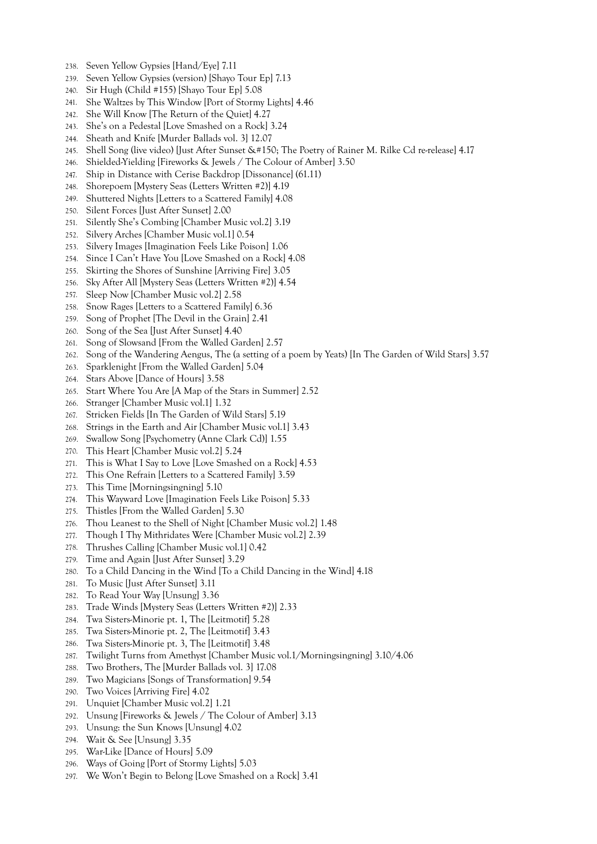- 238. Seven Yellow Gypsies [Hand/Eye] 7.11
- 239. Seven Yellow Gypsies (version) [Shayo Tour Ep] 7.13
- 240. Sir Hugh (Child #155) [Shayo Tour Ep] 5.08
- 241. She Waltzes by This Window [Port of Stormy Lights] 4.46
- 242. She Will Know [The Return of the Quiet] 4.27
- 243. She's on a Pedestal [Love Smashed on a Rock] 3.24
- 244. Sheath and Knife [Murder Ballads vol. 3] 12.07
- 245. Shell Song (live video) [Just After Sunset  $\&$ #150; The Poetry of Rainer M. Rilke Cd re-release] 4.17
- 246. Shielded-Yielding [Fireworks & Jewels / The Colour of Amber] 3.50
- 247. Ship in Distance with Cerise Backdrop [Dissonance] (61.11)
- 248. Shorepoem [Mystery Seas (Letters Written #2)] 4.19
- 249. Shuttered Nights [Letters to a Scattered Family] 4.08
- 250. Silent Forces [Just After Sunset] 2.00
- 251. Silently She's Combing [Chamber Music vol.2] 3.19
- 252. Silvery Arches [Chamber Music vol.1] 0.54
- 253. Silvery Images [Imagination Feels Like Poison] 1.06
- 254. Since I Can't Have You [Love Smashed on a Rock] 4.08
- 255. Skirting the Shores of Sunshine [Arriving Fire] 3.05
- 256. Sky After All [Mystery Seas (Letters Written #2)] 4.54
- 257. Sleep Now [Chamber Music vol.2] 2.58
- 258. Snow Rages [Letters to a Scattered Family] 6.36
- 259. Song of Prophet [The Devil in the Grain] 2.41
- 260. Song of the Sea [Just After Sunset] 4.40
- 261. Song of Slowsand [From the Walled Garden] 2.57
- 262. Song of the Wandering Aengus, The (a setting of a poem by Yeats) [In The Garden of Wild Stars] 3.57
- 263. Sparklenight [From the Walled Garden] 5.04
- 264. Stars Above [Dance of Hours] 3.58
- 265. Start Where You Are [A Map of the Stars in Summer] 2.52
- 266. Stranger [Chamber Music vol.1] 1.32
- 267. Stricken Fields [In The Garden of Wild Stars] 5.19
- 268. Strings in the Earth and Air [Chamber Music vol.1] 3.43
- 269. Swallow Song [Psychometry (Anne Clark Cd)] 1.55
- 270. This Heart [Chamber Music vol.2] 5.24
- 271. This is What I Say to Love [Love Smashed on a Rock] 4.53
- 272. This One Refrain [Letters to a Scattered Family] 3.59
- 273. This Time [Morningsingning] 5.10
- 274. This Wayward Love [Imagination Feels Like Poison] 5.33
- 275. Thistles [From the Walled Garden] 5.30
- 276. Thou Leanest to the Shell of Night [Chamber Music vol.2] 1.48
- 277. Though I Thy Mithridates Were [Chamber Music vol.2] 2.39
- 278. Thrushes Calling [Chamber Music vol.1] 0.42
- 279. Time and Again [Just After Sunset] 3.29
- 280. To a Child Dancing in the Wind [To a Child Dancing in the Wind] 4.18
- 281. To Music [Just After Sunset] 3.11
- 282. To Read Your Way [Unsung] 3.36
- 283. Trade Winds [Mystery Seas (Letters Written #2)] 2.33
- 284. Twa Sisters-Minorie pt. 1, The [Leitmotif] 5.28
- 285. Twa Sisters-Minorie pt. 2, The [Leitmotif] 3.43
- 286. Twa Sisters-Minorie pt. 3, The [Leitmotif] 3.48
- 287. Twilight Turns from Amethyst [Chamber Music vol.1/Morningsingning] 3.10/4.06
- 288. Two Brothers, The [Murder Ballads vol. 3] 17.08
- 289. Two Magicians [Songs of Transformation] 9.54
- 290. Two Voices [Arriving Fire] 4.02
- 291. Unquiet [Chamber Music vol.2] 1.21
- 292. Unsung [Fireworks & Jewels / The Colour of Amber] 3.13
- 293. Unsung: the Sun Knows [Unsung] 4.02
- 294. Wait & See [Unsung] 3.35
- 295. War-Like [Dance of Hours] 5.09
- 296. Ways of Going [Port of Stormy Lights] 5.03
- 297. We Won't Begin to Belong [Love Smashed on a Rock] 3.41